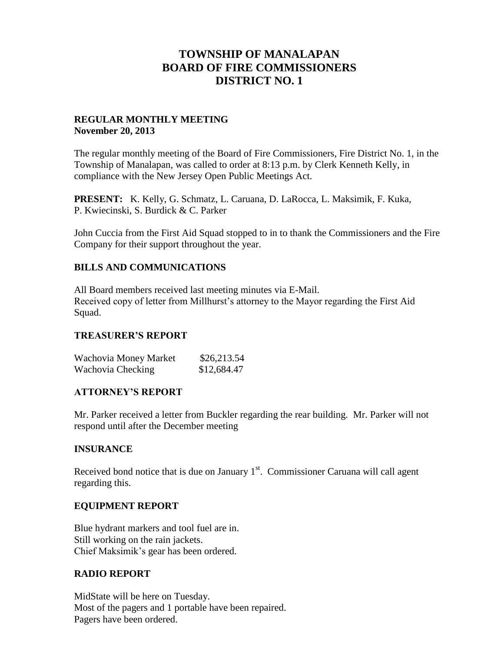# **TOWNSHIP OF MANALAPAN BOARD OF FIRE COMMISSIONERS DISTRICT NO. 1**

## **REGULAR MONTHLY MEETING November 20, 2013**

The regular monthly meeting of the Board of Fire Commissioners, Fire District No. 1, in the Township of Manalapan, was called to order at 8:13 p.m. by Clerk Kenneth Kelly, in compliance with the New Jersey Open Public Meetings Act.

**PRESENT:** K. Kelly, G. Schmatz, L. Caruana, D. LaRocca, L. Maksimik, F. Kuka, P. Kwiecinski, S. Burdick & C. Parker

John Cuccia from the First Aid Squad stopped to in to thank the Commissioners and the Fire Company for their support throughout the year.

# **BILLS AND COMMUNICATIONS**

All Board members received last meeting minutes via E-Mail. Received copy of letter from Millhurst's attorney to the Mayor regarding the First Aid Squad.

## **TREASURER'S REPORT**

| Wachovia Money Market | \$26,213.54 |
|-----------------------|-------------|
| Wachovia Checking     | \$12,684.47 |

## **ATTORNEY'S REPORT**

Mr. Parker received a letter from Buckler regarding the rear building. Mr. Parker will not respond until after the December meeting

## **INSURANCE**

Received bond notice that is due on January  $1<sup>st</sup>$ . Commissioner Caruana will call agent regarding this.

## **EQUIPMENT REPORT**

Blue hydrant markers and tool fuel are in. Still working on the rain jackets. Chief Maksimik's gear has been ordered.

## **RADIO REPORT**

MidState will be here on Tuesday. Most of the pagers and 1 portable have been repaired. Pagers have been ordered.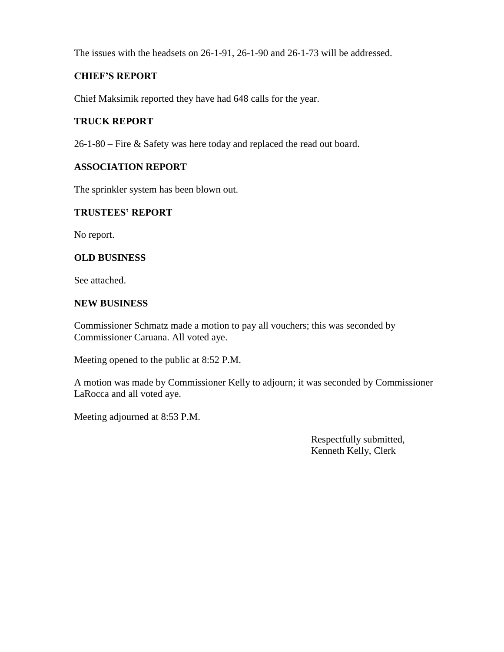The issues with the headsets on 26-1-91, 26-1-90 and 26-1-73 will be addressed.

# **CHIEF'S REPORT**

Chief Maksimik reported they have had 648 calls for the year.

# **TRUCK REPORT**

26-1-80 – Fire & Safety was here today and replaced the read out board.

## **ASSOCIATION REPORT**

The sprinkler system has been blown out.

## **TRUSTEES' REPORT**

No report.

## **OLD BUSINESS**

See attached.

## **NEW BUSINESS**

Commissioner Schmatz made a motion to pay all vouchers; this was seconded by Commissioner Caruana. All voted aye.

Meeting opened to the public at 8:52 P.M.

A motion was made by Commissioner Kelly to adjourn; it was seconded by Commissioner LaRocca and all voted aye.

Meeting adjourned at 8:53 P.M.

 Respectfully submitted, Kenneth Kelly, Clerk